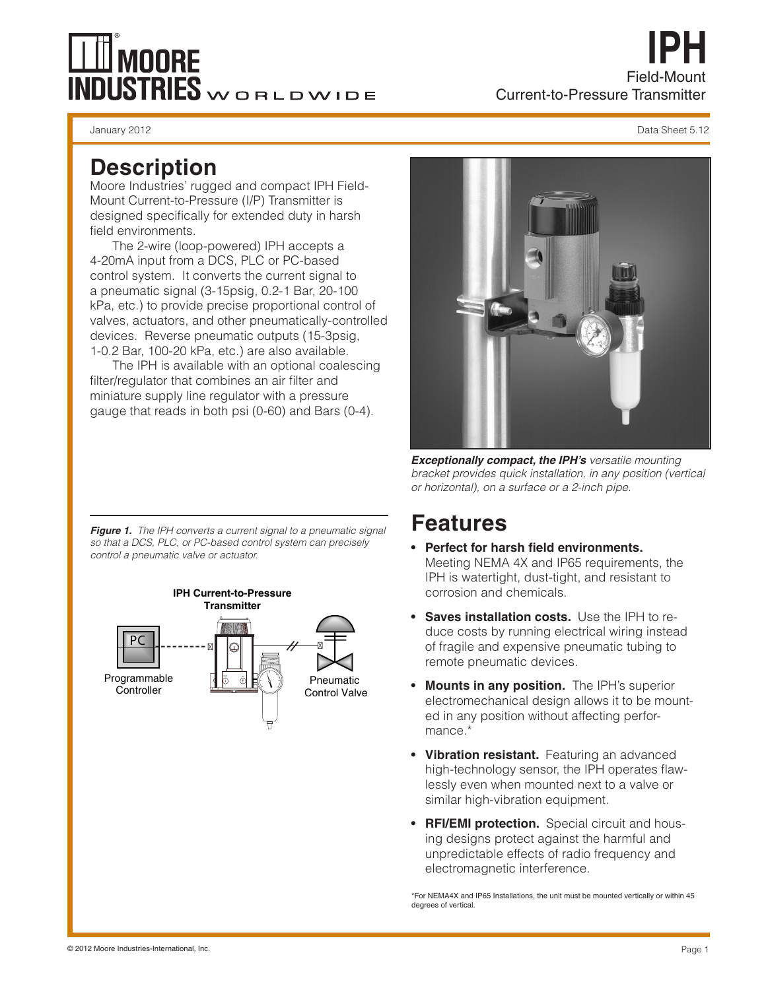# **MOORE INDUSTRIES** WORLDWIDE

### **Description**

Moore Industries' rugged and compact IPH Field-Mount Current-to-Pressure (I/P) Transmitter is designed specifically for extended duty in harsh field environments.

The 2-wire (loop-powered) IPH accepts a 4-20mA input from a DCS, PLC or PC-based control system. It converts the current signal to a pneumatic signal (3-15psig, 0.2-1 Bar, 20-100 kPa, etc.) to provide precise proportional control of valves, actuators, and other pneumatically-controlled devices. Reverse pneumatic outputs (15-3psig, 1-0.2 Bar, 100-20 kPa, etc.) are also available.

The IPH is available with an optional coalescing filter/regulator that combines an air filter and miniature supply line regulator with a pressure gauge that reads in both psi (0-60) and Bars (0-4).

*Figure 1. The IPH converts a current signal to a pneumatic signal so that a DCS, PLC, or PC-based control system can precisely control a pneumatic valve or actuator.*





*Exceptionally compact, the IPH's versatile mounting bracket provides quick installation, in any position (vertical or horizontal), on a surface or a 2-inch pipe.*

## **Features**

- **• Perfect for harsh field environments.** Meeting NEMA 4X and IP65 requirements, the IPH is watertight, dust-tight, and resistant to corrosion and chemicals.
- **• Saves installation costs.** Use the IPH to reduce costs by running electrical wiring instead of fragile and expensive pneumatic tubing to remote pneumatic devices.
- **• Mounts in any position.** The IPH's superior electromechanical design allows it to be mounted in any position without affecting performance.\*
- **• Vibration resistant.** Featuring an advanced high-technology sensor, the IPH operates flawlessly even when mounted next to a valve or similar high-vibration equipment.
- **• RFI/EMI protection.** Special circuit and housing designs protect against the harmful and unpredictable effects of radio frequency and electromagnetic interference.

 \*For NEMA4X and IP65 Installations, the unit must be mounted vertically or within 45 degrees of vertical.

**IPH**

Field-Mount

Current-to-Pressure Transmitter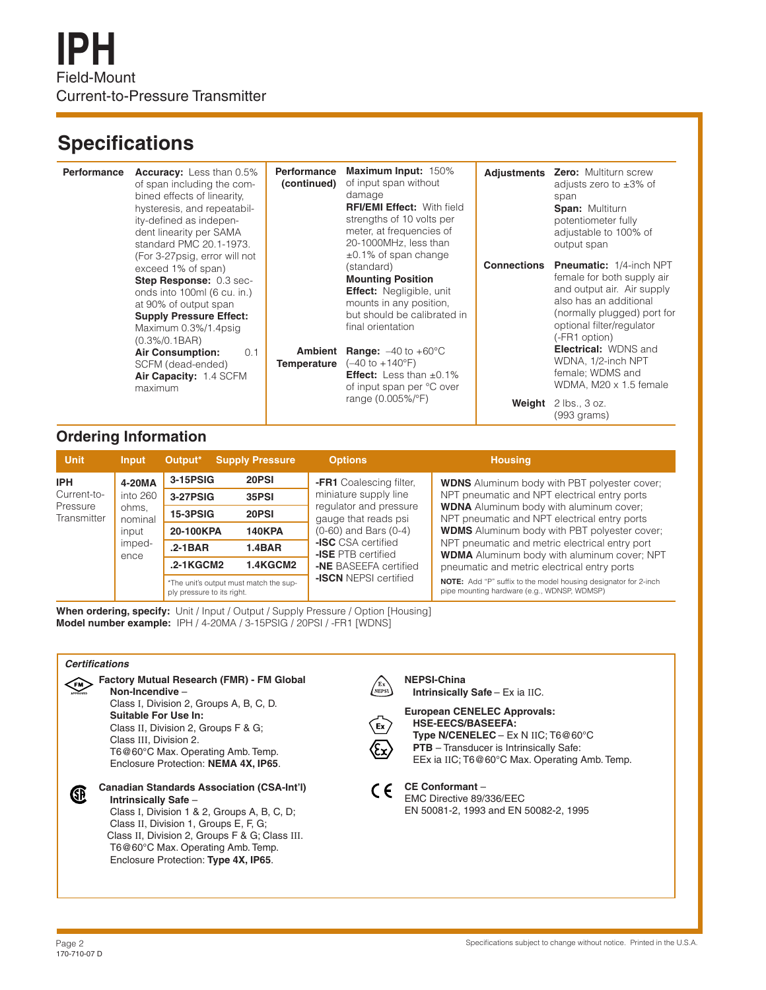### **Specifications**

| Performance | <b>Accuracy:</b> Less than 0.5%<br>of span including the com-<br>bined effects of linearity.<br>hysteresis, and repeatabil-<br>ity-defined as indepen-<br>dent linearity per SAMA<br>standard PMC 20.1-1973.<br>(For 3-27 psig, error will not                                  | Performance<br>(continued) | Maximum Input: 150%<br>of input span without<br>damage<br><b>RFI/EMI Effect: With field</b><br>strengths of 10 volts per<br>meter, at frequencies of<br>20-1000MHz, less than<br>$\pm 0.1\%$ of span change                                                                                                     |                              | Adjustments Zero: Multiturn screw<br>adjusts zero to $\pm 3\%$ of<br>span<br><b>Span: Multiturn</b><br>potentiometer fully<br>adjustable to 100% of<br>output span                                                                                                                                                                   |
|-------------|---------------------------------------------------------------------------------------------------------------------------------------------------------------------------------------------------------------------------------------------------------------------------------|----------------------------|-----------------------------------------------------------------------------------------------------------------------------------------------------------------------------------------------------------------------------------------------------------------------------------------------------------------|------------------------------|--------------------------------------------------------------------------------------------------------------------------------------------------------------------------------------------------------------------------------------------------------------------------------------------------------------------------------------|
|             | exceed 1% of span)<br>Step Response: 0.3 sec-<br>onds into 100ml (6 cu. in.)<br>at 90% of output span<br><b>Supply Pressure Effect:</b><br>Maximum 0.3%/1.4psig<br>$(0.3\%/0.1BAR)$<br><b>Air Consumption:</b><br>0.1<br>SCFM (dead-ended)<br>Air Capacity: 1.4 SCFM<br>maximum | Ambient<br>Temperature     | (standard)<br><b>Mounting Position</b><br><b>Effect:</b> Negligible, unit<br>mounts in any position.<br>but should be calibrated in<br>final orientation<br><b>Range:</b> $-40$ to $+60^{\circ}$ C<br>(-40 to +140°F)<br><b>Effect:</b> Less than $\pm 0.1\%$<br>of input span per °C over<br>range (0.005%/°F) | <b>Connections</b><br>Weight | <b>Pneumatic:</b> 1/4-inch NPT<br>female for both supply air<br>and output air. Air supply<br>also has an additional<br>(normally plugged) port for<br>optional filter/regulator<br>(-FR1 option)<br><b>Electrical: WDNS and</b><br>WDNA, 1/2-inch NPT<br>female; WDMS and<br>WDMA, M20 x 1.5 female<br>2 lbs., 3 oz.<br>(993 grams) |

#### **Ordering Information**

| <b>Unit</b>                                          | <b>Input</b>                                                      | Output <sup>*</sup>                                                  | <b>Supply Pressure</b> | <b>Options</b>                                                                                                                                                                                                            | <b>Housing</b>                                                                                                                                                                                                                                                                                                                                                       |
|------------------------------------------------------|-------------------------------------------------------------------|----------------------------------------------------------------------|------------------------|---------------------------------------------------------------------------------------------------------------------------------------------------------------------------------------------------------------------------|----------------------------------------------------------------------------------------------------------------------------------------------------------------------------------------------------------------------------------------------------------------------------------------------------------------------------------------------------------------------|
| <b>IPH</b><br>Current-to-<br>Pressure<br>Transmitter | 4-20MA<br>into 260<br>ohms,<br>nominal<br>input<br>imped-<br>ence | 3-15PSIG                                                             | 20PSI                  | <b>-FR1</b> Coalescing filter,<br>miniature supply line<br>regulator and pressure<br>gauge that reads psi<br>$(0-60)$ and Bars $(0-4)$<br><b>-ISC</b> CSA certified<br><b>-ISE</b> PTB certified<br>-NE BASEEFA certified | <b>WDNS</b> Aluminum body with PBT polyester cover:<br>NPT pneumatic and NPT electrical entry ports<br><b>WDNA</b> Aluminum body with aluminum cover;<br>NPT pneumatic and NPT electrical entry ports<br><b>WDMS</b> Aluminum body with PBT polyester cover;<br>NPT pneumatic and metric electrical entry port<br><b>WDMA</b> Aluminum body with aluminum cover; NPT |
|                                                      |                                                                   | 3-27PSIG                                                             | 35PSI                  |                                                                                                                                                                                                                           |                                                                                                                                                                                                                                                                                                                                                                      |
|                                                      |                                                                   | <b>15-3PSIG</b>                                                      | 20PSI                  |                                                                                                                                                                                                                           |                                                                                                                                                                                                                                                                                                                                                                      |
|                                                      |                                                                   | 20-100KPA                                                            | <b>140KPA</b>          |                                                                                                                                                                                                                           |                                                                                                                                                                                                                                                                                                                                                                      |
|                                                      |                                                                   | $.2 - 1BAR$                                                          | <b>1.4BAR</b>          |                                                                                                                                                                                                                           |                                                                                                                                                                                                                                                                                                                                                                      |
|                                                      |                                                                   | $.2 - 1$ KGCM2                                                       | <b>1.4KGCM2</b>        |                                                                                                                                                                                                                           | pneumatic and metric electrical entry ports                                                                                                                                                                                                                                                                                                                          |
|                                                      |                                                                   | *The unit's output must match the sup-<br>ply pressure to its right. |                        | <b>-ISCN NEPSI certified</b>                                                                                                                                                                                              | <b>NOTE:</b> Add "P" suffix to the model housing designator for 2-inch<br>pipe mounting hardware (e.g., WDNSP, WDMSP)                                                                                                                                                                                                                                                |

**When ordering, specify:** Unit / Input / Output / Supply Pressure / Option [Housing] **Model number example:** IPH / 4-20MA / 3-15PSIG / 20PSI / -FR1 [WDNS]

#### *Certifications*



Class I, Division 1 & 2, Groups A, B, C, D; Class II, Division 1, Groups E, F, G; Class II, Division 2, Groups F & G; Class III. T6@60°C Max. Operating Amb. Temp. Enclosure Protection: **Type 4X, IP65**.

#### **NEPSI-China**  $\sqrt{\frac{\text{Ex}}{\text{NEPSI}}}$

 **Intrinsically Safe** – Ex ia IIC.



**European CENELEC Approvals: HSE-EECS/BASEEFA: Type N/CENELEC** – Ex N IIC; T6@60°C

**PTB** – Transducer is Intrinsically Safe:





**CE Conformant** – EMC Directive 89/336/EEC EN 50081-2, 1993 and EN 50082-2, 1995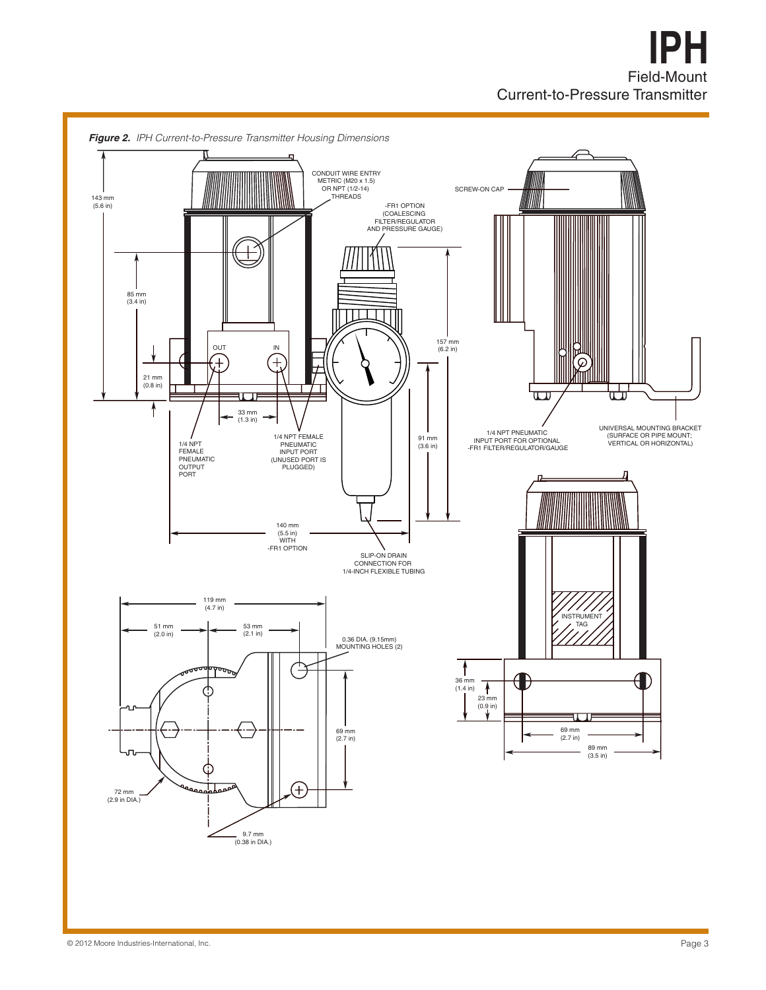